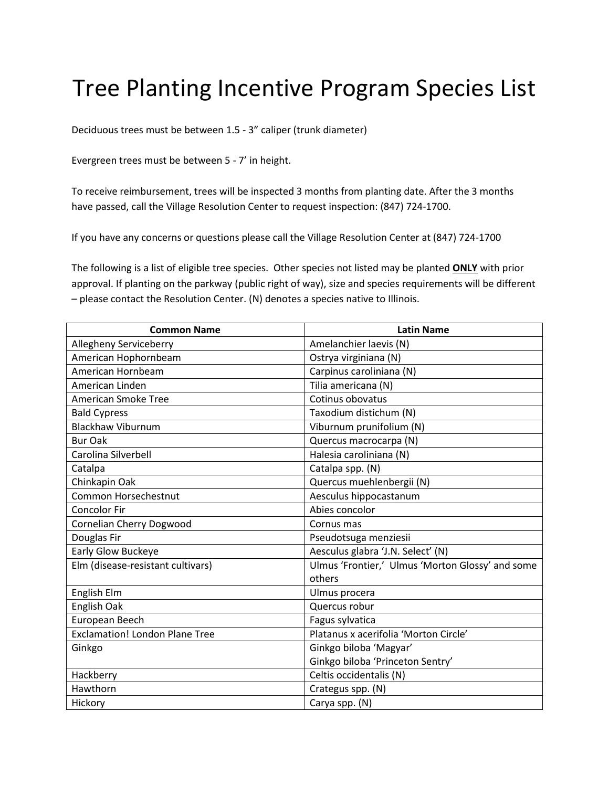## Tree Planting Incentive Program Species List

Deciduous trees must be between 1.5 - 3" caliper (trunk diameter)

Evergreen trees must be between 5 - 7' in height.

To receive reimbursement, trees will be inspected 3 months from planting date. After the 3 months have passed, call the Village Resolution Center to request inspection: (847) 724-1700.

If you have any concerns or questions please call the Village Resolution Center at (847) 724-1700

The following is a list of eligible tree species. Other species not listed may be planted **ONLY** with prior approval. If planting on the parkway (public right of way), size and species requirements will be different – please contact the Resolution Center. (N) denotes a species native to Illinois.

| <b>Common Name</b>                    | <b>Latin Name</b>                                |
|---------------------------------------|--------------------------------------------------|
| Allegheny Serviceberry                | Amelanchier laevis (N)                           |
| American Hophornbeam                  | Ostrya virginiana (N)                            |
| American Hornbeam                     | Carpinus caroliniana (N)                         |
| American Linden                       | Tilia americana (N)                              |
| American Smoke Tree                   | Cotinus obovatus                                 |
| <b>Bald Cypress</b>                   | Taxodium distichum (N)                           |
| <b>Blackhaw Viburnum</b>              | Viburnum prunifolium (N)                         |
| <b>Bur Oak</b>                        | Quercus macrocarpa (N)                           |
| Carolina Silverbell                   | Halesia caroliniana (N)                          |
| Catalpa                               | Catalpa spp. (N)                                 |
| Chinkapin Oak                         | Quercus muehlenbergii (N)                        |
| Common Horsechestnut                  | Aesculus hippocastanum                           |
| <b>Concolor Fir</b>                   | Abies concolor                                   |
| <b>Cornelian Cherry Dogwood</b>       | Cornus mas                                       |
| Douglas Fir                           | Pseudotsuga menziesii                            |
| <b>Early Glow Buckeye</b>             | Aesculus glabra 'J.N. Select' (N)                |
| Elm (disease-resistant cultivars)     | Ulmus 'Frontier,' Ulmus 'Morton Glossy' and some |
|                                       | others                                           |
| English Elm                           | Ulmus procera                                    |
| English Oak                           | Quercus robur                                    |
| European Beech                        | Fagus sylvatica                                  |
| <b>Exclamation! London Plane Tree</b> | Platanus x acerifolia 'Morton Circle'            |
| Ginkgo                                | Ginkgo biloba 'Magyar'                           |
|                                       | Ginkgo biloba 'Princeton Sentry'                 |
| Hackberry                             | Celtis occidentalis (N)                          |
| Hawthorn                              | Crategus spp. (N)                                |
| Hickory                               | Carya spp. (N)                                   |